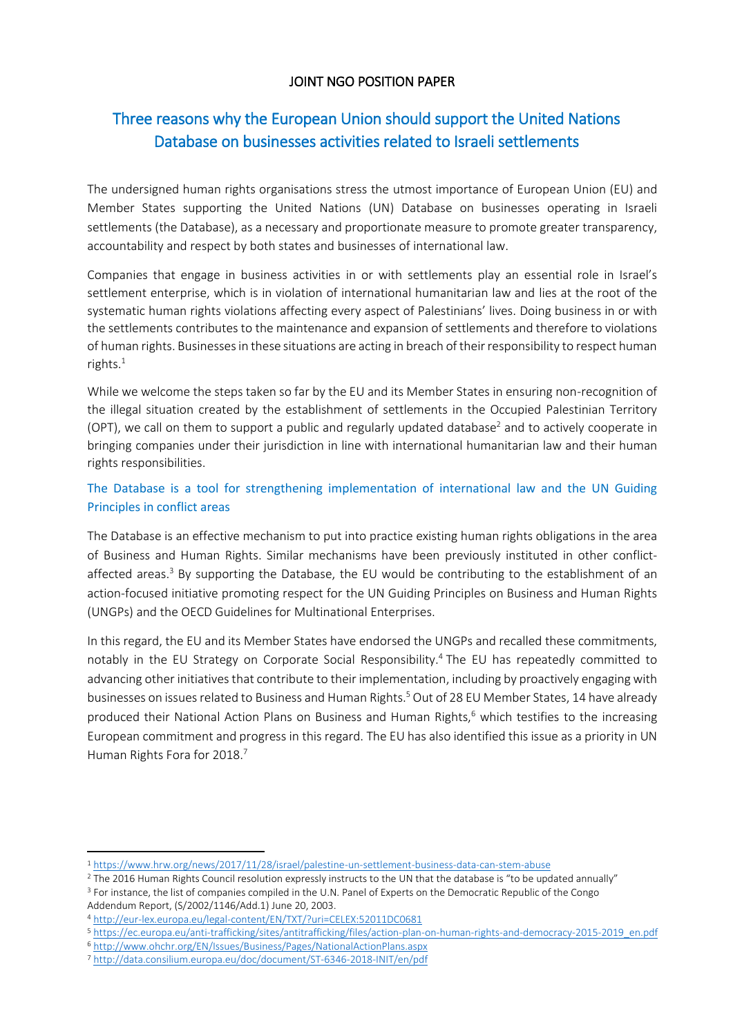## JOINT NGO POSITION PAPER

# Three reasons why the European Union should support the United Nations Database on businesses activities related to Israeli settlements

The undersigned human rights organisations stress the utmost importance of European Union (EU) and Member States supporting the United Nations (UN) Database on businesses operating in Israeli settlements (the Database), as a necessary and proportionate measure to promote greater transparency, accountability and respect by both states and businesses of international law.

Companies that engage in business activities in or with settlements play an essential role in Israel's settlement enterprise, which is in violation of international humanitarian law and lies at the root of the systematic human rights violations affecting every aspect of Palestinians' lives. Doing business in or with the settlements contributes to the maintenance and expansion of settlements and therefore to violations of human rights. Businesses in these situations are acting in breach of their responsibility to respect human rights.<sup>1</sup>

While we welcome the steps taken so far by the EU and its Member States in ensuring non-recognition of the illegal situation created by the establishment of settlements in the Occupied Palestinian Territory (OPT), we call on them to support a public and regularly updated database<sup>2</sup> and to actively cooperate in bringing companies under their jurisdiction in line with international humanitarian law and their human rights responsibilities.

## The Database is a tool for strengthening implementation of international law and the UN Guiding Principles in conflict areas

The Database is an effective mechanism to put into practice existing human rights obligations in the area of Business and Human Rights. Similar mechanisms have been previously instituted in other conflictaffected areas.<sup>3</sup> By supporting the Database, the EU would be contributing to the establishment of an action-focused initiative promoting respect for the UN Guiding Principles on Business and Human Rights (UNGPs) and the OECD Guidelines for Multinational Enterprises.

In this regard, the EU and its Member States have endorsed the UNGPs and recalled these commitments, notably in the EU Strategy on Corporate Social Responsibility. <sup>4</sup> The EU has repeatedly committed to advancing other initiatives that contribute to their implementation, including by proactively engaging with businesses on issues related to Business and Human Rights.<sup>5</sup> Out of 28 EU Member States, 14 have already produced their National Action Plans on Business and Human Rights,<sup>6</sup> which testifies to the increasing European commitment and progress in this regard. The EU has also identified this issue as a priority in UN Human Rights Fora for 2018.<sup>7</sup>

 $\overline{\phantom{a}}$ 

<sup>1</sup> <https://www.hrw.org/news/2017/11/28/israel/palestine-un-settlement-business-data-can-stem-abuse>

<sup>&</sup>lt;sup>2</sup> The 2016 Human Rights Council resolution expressly instructs to the UN that the database is "to be updated annually"

<sup>&</sup>lt;sup>3</sup> For instance, the list of companies compiled in the U.N. Panel of Experts on the Democratic Republic of the Congo Addendum Report, (S/2002/1146/Add.1) June 20, 2003.

<sup>4</sup> <http://eur-lex.europa.eu/legal-content/EN/TXT/?uri=CELEX:52011DC0681>

<sup>5</sup> [https://ec.europa.eu/anti-trafficking/sites/antitrafficking/files/action-plan-on-human-rights-and-democracy-2015-2019\\_en.pdf](https://ec.europa.eu/anti-trafficking/sites/antitrafficking/files/action-plan-on-human-rights-and-democracy-2015-2019_en.pdf) 

<sup>6</sup> <http://www.ohchr.org/EN/Issues/Business/Pages/NationalActionPlans.aspx>

<sup>7</sup> <http://data.consilium.europa.eu/doc/document/ST-6346-2018-INIT/en/pdf>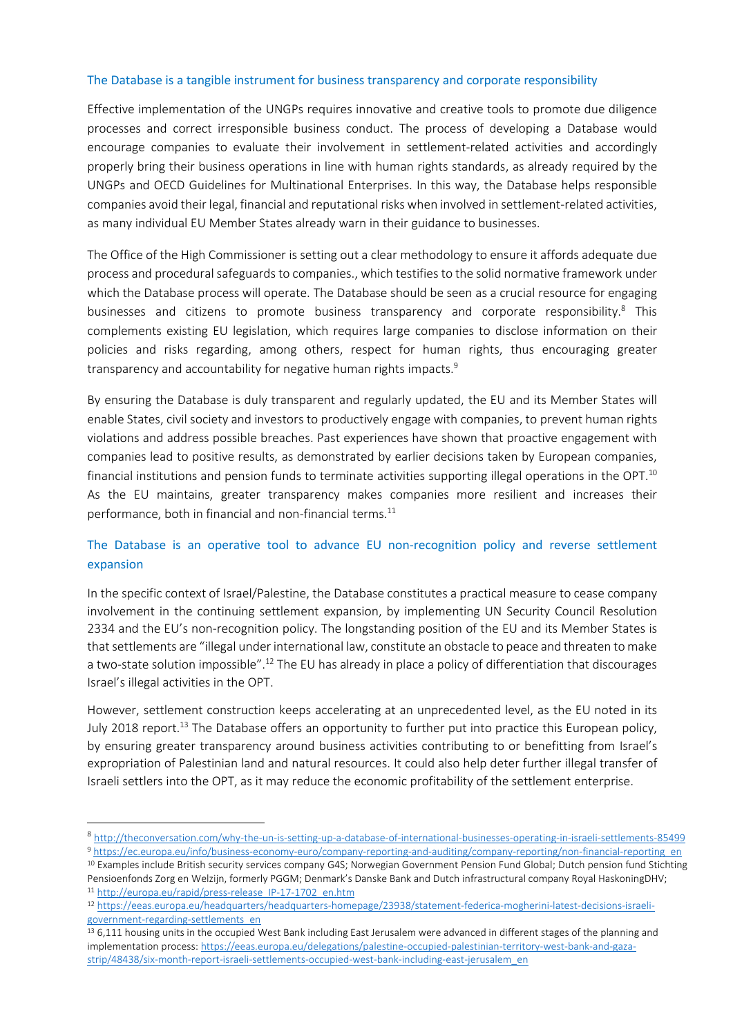#### The Database is a tangible instrument for business transparency and corporate responsibility

Effective implementation of the UNGPs requires innovative and creative tools to promote due diligence processes and correct irresponsible business conduct. The process of developing a Database would encourage companies to evaluate their involvement in settlement-related activities and accordingly properly bring their business operations in line with human rights standards, as already required by the UNGPs and OECD Guidelines for Multinational Enterprises. In this way, the Database helps responsible companies avoid their legal, financial and reputational risks when involved in settlement-related activities, as many individual EU Member States already warn in their guidance to businesses.

The Office of the High Commissioner is setting out a clear methodology to ensure it affords adequate due process and procedural safeguards to companies., which testifies to the solid normative framework under which the Database process will operate. The Database should be seen as a crucial resource for engaging businesses and citizens to promote business transparency and corporate responsibility.<sup>8</sup> This complements existing EU legislation, which requires large companies to disclose information on their policies and risks regarding, among others, respect for human rights, thus encouraging greater transparency and accountability for negative human rights impacts.<sup>9</sup>

By ensuring the Database is duly transparent and regularly updated, the EU and its Member States will enable States, civil society and investors to productively engage with companies, to prevent human rights violations and address possible breaches. Past experiences have shown that proactive engagement with companies lead to positive results, as demonstrated by earlier decisions taken by European companies, financial institutions and pension funds to terminate activities supporting illegal operations in the OPT.<sup>10</sup> As the EU maintains, greater transparency makes companies more resilient and increases their performance, both in financial and non-financial terms. $^{11}$ 

### The Database is an operative tool to advance EU non-recognition policy and reverse settlement expansion

In the specific context of Israel/Palestine, the Database constitutes a practical measure to cease company involvement in the continuing settlement expansion, by implementing UN Security Council Resolution 2334 and the EU's non-recognition policy. The longstanding position of the EU and its Member States is that settlements are "illegal under international law, constitute an obstacle to peace and threaten to make a two-state solution impossible".<sup>12</sup> The EU has already in place a policy of differentiation that discourages Israel's illegal activities in the OPT.

However, settlement construction keeps accelerating at an unprecedented level, as the EU noted in its July 2018 report.<sup>13</sup> The Database offers an opportunity to further put into practice this European policy, by ensuring greater transparency around business activities contributing to or benefitting from Israel's expropriation of Palestinian land and natural resources. It could also help deter further illegal transfer of Israeli settlers into the OPT, as it may reduce the economic profitability of the settlement enterprise.

 $\overline{a}$ 

<sup>8</sup> <http://theconversation.com/why-the-un-is-setting-up-a-database-of-international-businesses-operating-in-israeli-settlements-85499>

<sup>9</sup> [https://ec.europa.eu/info/business-economy-euro/company-reporting-and-auditing/company-reporting/non-financial-reporting\\_en](https://ec.europa.eu/info/business-economy-euro/company-reporting-and-auditing/company-reporting/non-financial-reporting_en) 10 Examples include British security services company G4S; Norwegian Government Pension Fund Global; Dutch pension fund Stichting Pensioenfonds Zorg en Welzijn, formerly PGGM; Denmark's Danske Bank and Dutch infrastructural company Royal HaskoningDHV; 11 [http://europa.eu/rapid/press-release\\_IP-17-1702\\_en.htm](http://europa.eu/rapid/press-release_IP-17-1702_en.htm)

<sup>12</sup> [https://eeas.europa.eu/headquarters/headquarters-homepage/23938/statement-federica-mogherini-latest-decisions-israeli](https://eeas.europa.eu/headquarters/headquarters-homepage/23938/statement-federica-mogherini-latest-decisions-israeli-government-regarding-settlements_en)[government-regarding-settlements\\_en](https://eeas.europa.eu/headquarters/headquarters-homepage/23938/statement-federica-mogherini-latest-decisions-israeli-government-regarding-settlements_en)

<sup>&</sup>lt;sup>13</sup> 6,111 housing units in the occupied West Bank including East Jerusalem were advanced in different stages of the planning and implementation process: [https://eeas.europa.eu/delegations/palestine-occupied-palestinian-territory-west-bank-and-gaza](https://eeas.europa.eu/delegations/palestine-occupied-palestinian-territory-west-bank-and-gaza-strip/48438/six-month-report-israeli-settlements-occupied-west-bank-including-east-jerusalem_en)[strip/48438/six-month-report-israeli-settlements-occupied-west-bank-including-east-jerusalem\\_en](https://eeas.europa.eu/delegations/palestine-occupied-palestinian-territory-west-bank-and-gaza-strip/48438/six-month-report-israeli-settlements-occupied-west-bank-including-east-jerusalem_en)